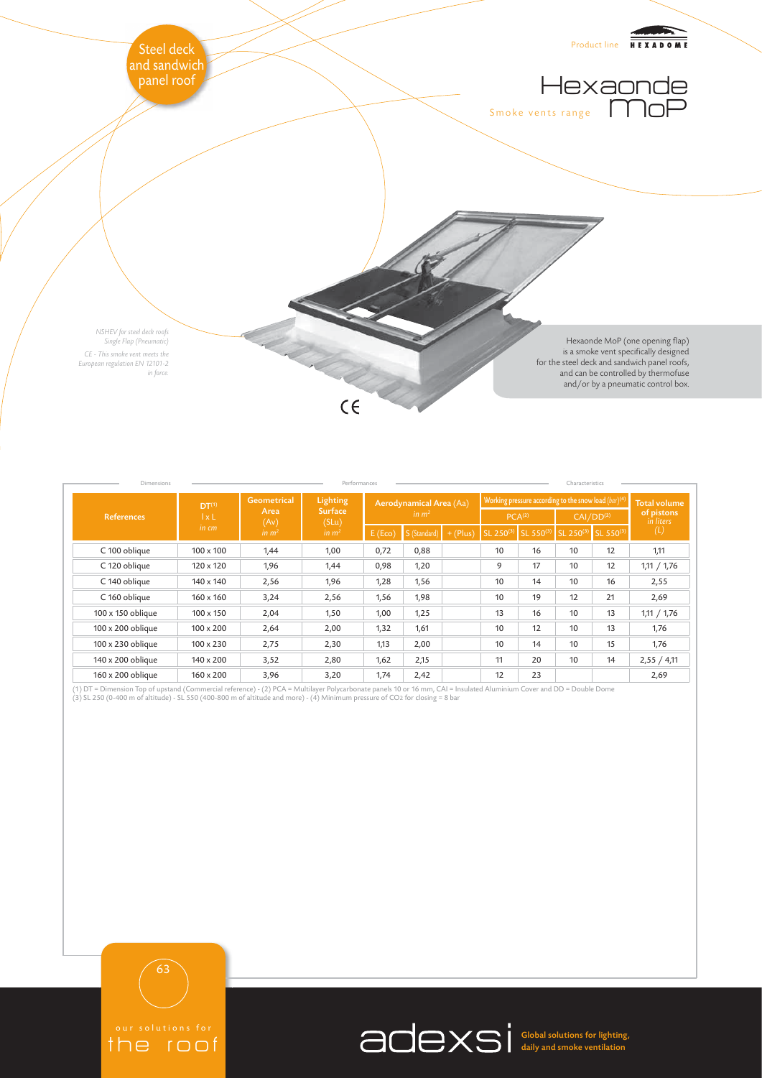

| Dimensions<br>Performances<br>Characteristics |                                            |                                                         |                                                          |                                              |              |            |                                                           |           |                       |                     |                         |
|-----------------------------------------------|--------------------------------------------|---------------------------------------------------------|----------------------------------------------------------|----------------------------------------------|--------------|------------|-----------------------------------------------------------|-----------|-----------------------|---------------------|-------------------------|
| <b>References</b>                             | DT <sup>(1)</sup><br>$1 \times L$<br>in cm | <b>Geometrical</b><br>Area<br>(Av)<br>in m <sup>2</sup> | Lighting<br><b>Surface</b><br>(SLu)<br>in m <sup>2</sup> | Aerodynamical Area (Aa)<br>in m <sup>2</sup> |              |            | Working pressure according to the snow load $(bar)^{(4)}$ |           |                       |                     | <b>Total volume</b>     |
|                                               |                                            |                                                         |                                                          |                                              |              |            | PCA <sup>(2)</sup>                                        |           | CAI/DD <sup>(2)</sup> |                     | of pistons<br>in liters |
|                                               |                                            |                                                         |                                                          | E(Eco)                                       | S (Standard) | $+$ (Plus) | SL 250(3)                                                 | SL 550(3) |                       | SL 250(3) SL 550(3) | (L)                     |
| C 100 oblique                                 | $100 \times 100$                           | 1,44                                                    | 1,00                                                     | 0,72                                         | 0,88         |            | 10                                                        | 16        | 10                    | 12                  | 1,11                    |
| C 120 oblique                                 | $120 \times 120$                           | 1,96                                                    | 1,44                                                     | 0,98                                         | 1,20         |            | 9                                                         | 17        | 10                    | 12                  | 1,11 / 1,76             |
| C 140 oblique                                 | 140 x 140                                  | 2,56                                                    | 1,96                                                     | 1,28                                         | 1,56         |            | 10                                                        | 14        | 10                    | 16                  | 2,55                    |
| C 160 oblique                                 | $160 \times 160$                           | 3,24                                                    | 2,56                                                     | 1,56                                         | 1,98         |            | 10                                                        | 19        | 12                    | 21                  | 2,69                    |
| 100 x 150 oblique                             | $100 \times 150$                           | 2,04                                                    | 1,50                                                     | 1,00                                         | 1,25         |            | 13                                                        | 16        | 10                    | 13                  | 1,11 / 1,76             |
| 100 x 200 oblique                             | $100 \times 200$                           | 2,64                                                    | 2,00                                                     | 1,32                                         | 1,61         |            | 10                                                        | 12        | 10                    | 13                  | 1,76                    |
| 100 x 230 oblique                             | $100 \times 230$                           | 2,75                                                    | 2,30                                                     | 1,13                                         | 2,00         |            | 10                                                        | 14        | 10                    | 15                  | 1,76                    |
| 140 x 200 oblique                             | $140 \times 200$                           | 3,52                                                    | 2,80                                                     | 1,62                                         | 2,15         |            | 11                                                        | 20        | 10                    | 14                  | 2,55 / 4,11             |
| 160 x 200 oblique                             | $160 \times 200$                           | 3,96                                                    | 3,20                                                     | 1,74                                         | 2,42         |            | 12                                                        | 23        |                       |                     | 2,69                    |

(1) DT = Dimension Top of upstand (Commercial reference) - (2) PCA = Multilayer Polycarbonate panels 10 or 16 mm, CAI = Insulated Aluminium Cover and DD = Double Dome<br>(3) SL 250 (0-400 m of altitude) - SL 550 (400-800 m of

63

the roof

Global solutions for lighting, daily and smoke ventilation